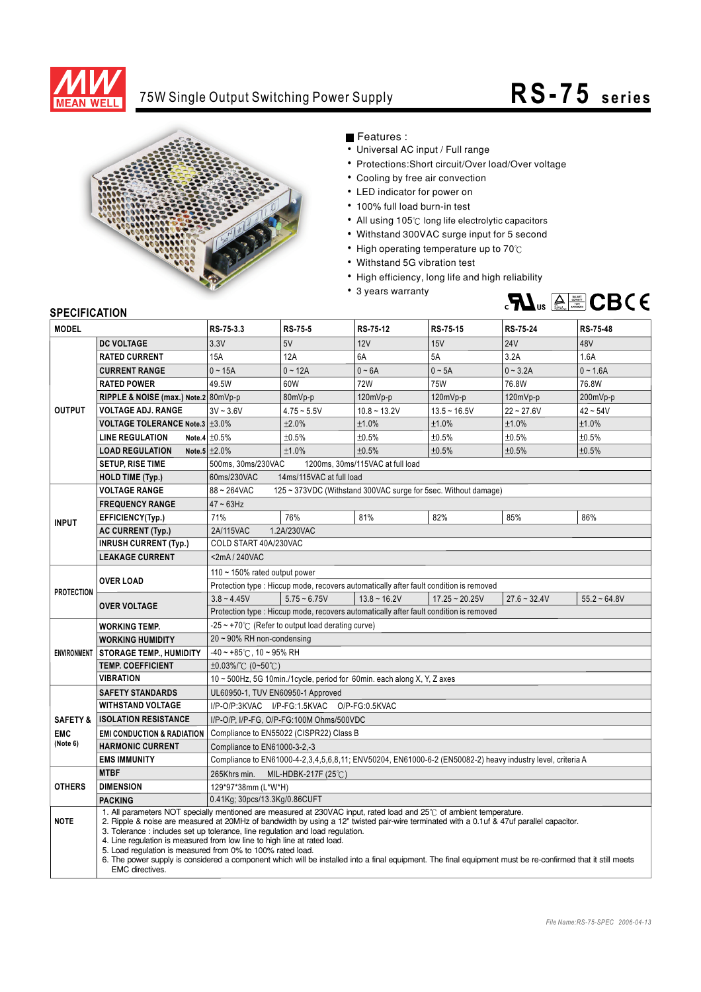

## 75W Single Output Switching Power Supply

## **RS-75 s e ri e s**



Features :

- Universal AC input / Full range
- Protections: Short circuit/Over load/Over voltage
- Cooling by free air convection
- LED indicator for power on
- 100% full load burn-in test
- All using 105°C long life electrolytic capacitors
- Withstand 300VAC surge input for 5 second
- High operating temperature up to  $70^{\circ}$ C
- Withstand 5G vibration test
- High efficiency, long life and high reliability
- 3 years warranty



## **SPECIFICATION**

| <b>MODEL</b>           |                                       | RS-75-3.3                                                                                                                                                                                                                                                                                                                                                                                                                                                                                                                                                                                                                                                | <b>RS-75-5</b> | RS-75-12                                                                               | RS-75-15         | RS-75-24       | <b>RS-75-48</b> |  |
|------------------------|---------------------------------------|----------------------------------------------------------------------------------------------------------------------------------------------------------------------------------------------------------------------------------------------------------------------------------------------------------------------------------------------------------------------------------------------------------------------------------------------------------------------------------------------------------------------------------------------------------------------------------------------------------------------------------------------------------|----------------|----------------------------------------------------------------------------------------|------------------|----------------|-----------------|--|
| <b>OUTPUT</b>          | <b>DC VOLTAGE</b>                     | 3.3V                                                                                                                                                                                                                                                                                                                                                                                                                                                                                                                                                                                                                                                     | 5V             | 12V                                                                                    | 15V              | <b>24V</b>     | 48V             |  |
|                        | <b>RATED CURRENT</b>                  | <b>15A</b>                                                                                                                                                                                                                                                                                                                                                                                                                                                                                                                                                                                                                                               | 12A            | 6A                                                                                     | 5A               | 3.2A           | 1.6A            |  |
|                        | <b>CURRENT RANGE</b>                  | $0 - 15A$                                                                                                                                                                                                                                                                                                                                                                                                                                                                                                                                                                                                                                                | $0 - 12A$      | $0 - 6A$                                                                               | $0 - 5A$         | $0 - 3.2A$     | $0 - 1.6A$      |  |
|                        | <b>RATED POWER</b>                    | 49.5W                                                                                                                                                                                                                                                                                                                                                                                                                                                                                                                                                                                                                                                    | 60W            | 72W                                                                                    | <b>75W</b>       | 76.8W          | 76.8W           |  |
|                        | RIPPLE & NOISE (max.) Note.2 80mVp-p  |                                                                                                                                                                                                                                                                                                                                                                                                                                                                                                                                                                                                                                                          | 80mVp-p        | 120mVp-p                                                                               | 120mVp-p         | 120mVp-p       | 200mVp-p        |  |
|                        | <b>VOLTAGE ADJ. RANGE</b>             | $3V - 3.6V$                                                                                                                                                                                                                                                                                                                                                                                                                                                                                                                                                                                                                                              | $4.75 - 5.5V$  | $10.8 - 13.2V$                                                                         | $13.5 - 16.5V$   | $22 - 27.6V$   | $42 - 54V$      |  |
|                        | VOLTAGE TOLERANCE Note.3 ±3.0%        |                                                                                                                                                                                                                                                                                                                                                                                                                                                                                                                                                                                                                                                          | ±2.0%          | ±1.0%                                                                                  | ±1.0%            | ±1.0%          | ±1.0%           |  |
|                        | <b>LINE REGULATION</b>                | Note.4 $\pm 0.5\%$                                                                                                                                                                                                                                                                                                                                                                                                                                                                                                                                                                                                                                       | ±0.5%          | ±0.5%                                                                                  | ±0.5%            | ±0.5%          | ±0.5%           |  |
|                        | <b>LOAD REGULATION</b>                | Note.5 $\pm 2.0\%$                                                                                                                                                                                                                                                                                                                                                                                                                                                                                                                                                                                                                                       | ±1.0%          | ±0.5%                                                                                  | ±0.5%            | ±0.5%          | ±0.5%           |  |
|                        | <b>SETUP, RISE TIME</b>               | 500ms, 30ms/230VAC<br>1200ms, 30ms/115VAC at full load                                                                                                                                                                                                                                                                                                                                                                                                                                                                                                                                                                                                   |                |                                                                                        |                  |                |                 |  |
|                        | <b>HOLD TIME (Typ.)</b>               | 60ms/230VAC<br>14ms/115VAC at full load                                                                                                                                                                                                                                                                                                                                                                                                                                                                                                                                                                                                                  |                |                                                                                        |                  |                |                 |  |
| <b>INPUT</b>           | <b>VOLTAGE RANGE</b>                  | 88~264VAC<br>125 ~ 373VDC (Withstand 300VAC surge for 5sec. Without damage)                                                                                                                                                                                                                                                                                                                                                                                                                                                                                                                                                                              |                |                                                                                        |                  |                |                 |  |
|                        | <b>FREQUENCY RANGE</b>                | $47 \sim 63$ Hz                                                                                                                                                                                                                                                                                                                                                                                                                                                                                                                                                                                                                                          |                |                                                                                        |                  |                |                 |  |
|                        | EFFICIENCY(Typ.)                      | 71%                                                                                                                                                                                                                                                                                                                                                                                                                                                                                                                                                                                                                                                      | 76%            | 81%                                                                                    | 82%              | 85%            | 86%             |  |
|                        | <b>AC CURRENT (Typ.)</b>              | 1.2A/230VAC<br>2A/115VAC                                                                                                                                                                                                                                                                                                                                                                                                                                                                                                                                                                                                                                 |                |                                                                                        |                  |                |                 |  |
|                        | <b>INRUSH CURRENT (Typ.)</b>          | COLD START 40A/230VAC                                                                                                                                                                                                                                                                                                                                                                                                                                                                                                                                                                                                                                    |                |                                                                                        |                  |                |                 |  |
|                        | <b>LEAKAGE CURRENT</b>                | <2mA/240VAC                                                                                                                                                                                                                                                                                                                                                                                                                                                                                                                                                                                                                                              |                |                                                                                        |                  |                |                 |  |
| <b>PROTECTION</b>      | <b>OVER LOAD</b>                      | 110 ~ 150% rated output power                                                                                                                                                                                                                                                                                                                                                                                                                                                                                                                                                                                                                            |                |                                                                                        |                  |                |                 |  |
|                        |                                       | Protection type : Hiccup mode, recovers automatically after fault condition is removed                                                                                                                                                                                                                                                                                                                                                                                                                                                                                                                                                                   |                |                                                                                        |                  |                |                 |  |
|                        | <b>OVER VOLTAGE</b>                   | $3.8 - 4.45V$                                                                                                                                                                                                                                                                                                                                                                                                                                                                                                                                                                                                                                            | $5.75 - 6.75V$ | $13.8 - 16.2V$                                                                         | $17.25 - 20.25V$ | $27.6 - 32.4V$ | $55.2 - 64.8V$  |  |
|                        |                                       |                                                                                                                                                                                                                                                                                                                                                                                                                                                                                                                                                                                                                                                          |                | Protection type : Hiccup mode, recovers automatically after fault condition is removed |                  |                |                 |  |
|                        | <b>WORKING TEMP.</b>                  | $-25 \sim +70^{\circ}$ (Refer to output load derating curve)                                                                                                                                                                                                                                                                                                                                                                                                                                                                                                                                                                                             |                |                                                                                        |                  |                |                 |  |
|                        | <b>WORKING HUMIDITY</b>               | 20~90% RH non-condensing                                                                                                                                                                                                                                                                                                                                                                                                                                                                                                                                                                                                                                 |                |                                                                                        |                  |                |                 |  |
|                        | ENVIRONMENT   STORAGE TEMP., HUMIDITY | $-40 \sim +85^{\circ}$ C, 10 ~ 95% RH                                                                                                                                                                                                                                                                                                                                                                                                                                                                                                                                                                                                                    |                |                                                                                        |                  |                |                 |  |
|                        | <b>TEMP. COEFFICIENT</b>              | $\pm 0.03\%$ /°C (0~50°C)                                                                                                                                                                                                                                                                                                                                                                                                                                                                                                                                                                                                                                |                |                                                                                        |                  |                |                 |  |
|                        | <b>VIBRATION</b>                      | 10 ~ 500Hz, 5G 10min./1cycle, period for 60min. each along X, Y, Z axes                                                                                                                                                                                                                                                                                                                                                                                                                                                                                                                                                                                  |                |                                                                                        |                  |                |                 |  |
|                        | <b>SAFETY STANDARDS</b>               | UL60950-1, TUV EN60950-1 Approved                                                                                                                                                                                                                                                                                                                                                                                                                                                                                                                                                                                                                        |                |                                                                                        |                  |                |                 |  |
|                        | <b>WITHSTAND VOLTAGE</b>              | I/P-O/P:3KVAC I/P-FG:1.5KVAC O/P-FG:0.5KVAC                                                                                                                                                                                                                                                                                                                                                                                                                                                                                                                                                                                                              |                |                                                                                        |                  |                |                 |  |
| <b>SAFETY &amp;</b>    | <b>ISOLATION RESISTANCE</b>           | I/P-O/P, I/P-FG, O/P-FG:100M Ohms/500VDC                                                                                                                                                                                                                                                                                                                                                                                                                                                                                                                                                                                                                 |                |                                                                                        |                  |                |                 |  |
| <b>EMC</b><br>(Note 6) | <b>EMI CONDUCTION &amp; RADIATION</b> | Compliance to EN55022 (CISPR22) Class B                                                                                                                                                                                                                                                                                                                                                                                                                                                                                                                                                                                                                  |                |                                                                                        |                  |                |                 |  |
|                        | <b>HARMONIC CURRENT</b>               | Compliance to EN61000-3-2,-3                                                                                                                                                                                                                                                                                                                                                                                                                                                                                                                                                                                                                             |                |                                                                                        |                  |                |                 |  |
|                        | <b>EMS IMMUNITY</b>                   | Compliance to EN61000-4-2,3,4,5,6,8,11; ENV50204, EN61000-6-2 (EN50082-2) heavy industry level, criteria A                                                                                                                                                                                                                                                                                                                                                                                                                                                                                                                                               |                |                                                                                        |                  |                |                 |  |
| <b>OTHERS</b>          | <b>MTBF</b>                           | 265Khrs min. MIL-HDBK-217F (25°C)                                                                                                                                                                                                                                                                                                                                                                                                                                                                                                                                                                                                                        |                |                                                                                        |                  |                |                 |  |
|                        | <b>DIMENSION</b>                      | 129*97*38mm (L*W*H)                                                                                                                                                                                                                                                                                                                                                                                                                                                                                                                                                                                                                                      |                |                                                                                        |                  |                |                 |  |
|                        | <b>PACKING</b>                        | 0.41Kg; 30pcs/13.3Kg/0.86CUFT                                                                                                                                                                                                                                                                                                                                                                                                                                                                                                                                                                                                                            |                |                                                                                        |                  |                |                 |  |
| <b>NOTE</b>            | <b>EMC</b> directives.                | 1. All parameters NOT specially mentioned are measured at 230VAC input, rated load and 25°C of ambient temperature.<br>2. Ripple & noise are measured at 20MHz of bandwidth by using a 12" twisted pair-wire terminated with a 0.1uf & 47uf parallel capacitor.<br>3. Tolerance: includes set up tolerance, line regulation and load regulation.<br>4. Line regulation is measured from low line to high line at rated load.<br>5. Load regulation is measured from 0% to 100% rated load.<br>6. The power supply is considered a component which will be installed into a final equipment. The final equipment must be re-confirmed that it still meets |                |                                                                                        |                  |                |                 |  |